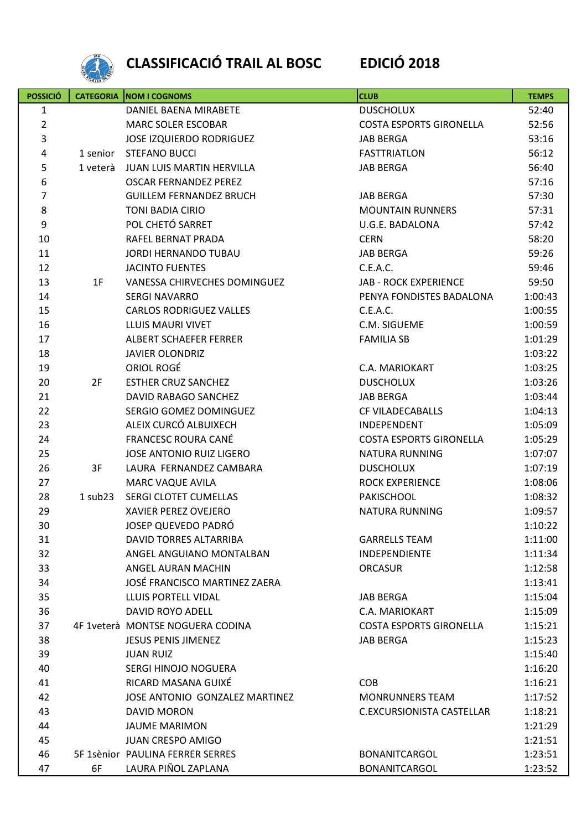

## **CLASSIFICACIÓ TRAIL AL BOSC EDICIÓ 2018**

| <b>POSSICIÓ</b> | <b>CATEGORIA</b> | NOM I COGNOMS                    | <b>CLUB</b>                    | <b>TEMPS</b> |
|-----------------|------------------|----------------------------------|--------------------------------|--------------|
| $\mathbf{1}$    |                  | DANIEL BAENA MIRABETE            | <b>DUSCHOLUX</b>               | 52:40        |
| $\overline{2}$  |                  | <b>MARC SOLER ESCOBAR</b>        | <b>COSTA ESPORTS GIRONELLA</b> | 52:56        |
| $\overline{3}$  |                  | <b>JOSE IZQUIERDO RODRIGUEZ</b>  | <b>JAB BERGA</b>               | 53:16        |
| 4               | 1 senior         | <b>STEFANO BUCCI</b>             | <b>FASTTRIATLON</b>            | 56:12        |
| 5               | 1 veterà         | <b>JUAN LUIS MARTIN HERVILLA</b> | <b>JAB BERGA</b>               | 56:40        |
| 6               |                  | <b>OSCAR FERNANDEZ PEREZ</b>     |                                | 57:16        |
| $\overline{7}$  |                  | <b>GUILLEM FERNANDEZ BRUCH</b>   | <b>JAB BERGA</b>               | 57:30        |
| 8               |                  | <b>TONI BADIA CIRIO</b>          | <b>MOUNTAIN RUNNERS</b>        | 57:31        |
| 9               |                  | POL CHETÓ SARRET                 | U.G.E. BADALONA                | 57:42        |
| 10              |                  | RAFEL BERNAT PRADA               | <b>CERN</b>                    | 58:20        |
| 11              |                  | JORDI HERNANDO TUBAU             | <b>JAB BERGA</b>               | 59:26        |
| 12              |                  | <b>JACINTO FUENTES</b>           | C.E.A.C.                       | 59:46        |
| 13              | 1F               | VANESSA CHIRVECHES DOMINGUEZ     | <b>JAB - ROCK EXPERIENCE</b>   | 59:50        |
| 14              |                  | <b>SERGI NAVARRO</b>             | PENYA FONDISTES BADALONA       | 1:00:43      |
| 15              |                  | <b>CARLOS RODRIGUEZ VALLES</b>   | C.E.A.C.                       | 1:00:55      |
| 16              |                  | LLUIS MAURI VIVET                | C.M. SIGUEME                   | 1:00:59      |
| 17              |                  | ALBERT SCHAEFER FERRER           | <b>FAMILIA SB</b>              | 1:01:29      |
| 18              |                  | <b>JAVIER OLONDRIZ</b>           |                                | 1:03:22      |
| 19              |                  | ORIOL ROGÉ                       | C.A. MARIOKART                 | 1:03:25      |
| 20              | 2F               | <b>ESTHER CRUZ SANCHEZ</b>       | <b>DUSCHOLUX</b>               | 1:03:26      |
| 21              |                  | DAVID RABAGO SANCHEZ             | <b>JAB BERGA</b>               | 1:03:44      |
| 22              |                  | SERGIO GOMEZ DOMINGUEZ           | CF VILADECABALLS               | 1:04:13      |
| 23              |                  | ALEIX CURCÓ ALBUIXECH            | INDEPENDENT                    | 1:05:09      |
| 24              |                  | <b>FRANCESC ROURA CANÉ</b>       | <b>COSTA ESPORTS GIRONELLA</b> | 1:05:29      |
| 25              |                  | JOSE ANTONIO RUIZ LIGERO         | <b>NATURA RUNNING</b>          | 1:07:07      |
| 26              | 3F               | LAURA FERNANDEZ CAMBARA          | <b>DUSCHOLUX</b>               | 1:07:19      |
| 27              |                  | MARC VAQUE AVILA                 | <b>ROCK EXPERIENCE</b>         | 1:08:06      |
| 28              | $1$ sub $23$     | SERGI CLOTET CUMELLAS            | PAKISCHOOL                     | 1:08:32      |
| 29              |                  | XAVIER PEREZ OVEJERO             | <b>NATURA RUNNING</b>          | 1:09:57      |
| 30              |                  | JOSEP QUEVEDO PADRÓ              |                                | 1:10:22      |
| 31              |                  | DAVID TORRES ALTARRIBA           | <b>GARRELLS TEAM</b>           | 1:11:00      |
| 32              |                  | ANGEL ANGUIANO MONTALBAN         | <b>INDEPENDIENTE</b>           | 1:11:34      |
| 33              |                  | ANGEL AURAN MACHIN               | <b>ORCASUR</b>                 | 1:12:58      |
| 34              |                  | JOSÉ FRANCISCO MARTINEZ ZAERA    |                                | 1:13:41      |
| 35              |                  | LLUIS PORTELL VIDAL              | <b>JAB BERGA</b>               | 1:15:04      |
| 36              |                  | <b>DAVID ROYO ADELL</b>          | C.A. MARIOKART                 | 1:15:09      |
| 37              |                  | 4F 1veterà MONTSE NOGUERA CODINA | <b>COSTA ESPORTS GIRONELLA</b> | 1:15:21      |
| 38              |                  | <b>JESUS PENIS JIMENEZ</b>       | <b>JAB BERGA</b>               | 1:15:23      |
| 39              |                  | <b>JUAN RUIZ</b>                 |                                | 1:15:40      |
| 40              |                  | SERGI HINOJO NOGUERA             |                                | 1:16:20      |
| 41              |                  | RICARD MASANA GUIXÉ              | <b>COB</b>                     | 1:16:21      |
| 42              |                  | JOSE ANTONIO GONZALEZ MARTINEZ   | <b>MONRUNNERS TEAM</b>         | 1:17:52      |
| 43              |                  | DAVID MORON                      | C.EXCURSIONISTA CASTELLAR      | 1:18:21      |
| 44              |                  | <b>JAUME MARIMON</b>             |                                | 1:21:29      |
| 45              |                  | <b>JUAN CRESPO AMIGO</b>         |                                | 1:21:51      |
| 46              |                  | 5F 1sènior PAULINA FERRER SERRES | <b>BONANITCARGOL</b>           | 1:23:51      |
| 47              | 6F               | LAURA PIÑOL ZAPLANA              | <b>BONANITCARGOL</b>           | 1:23:52      |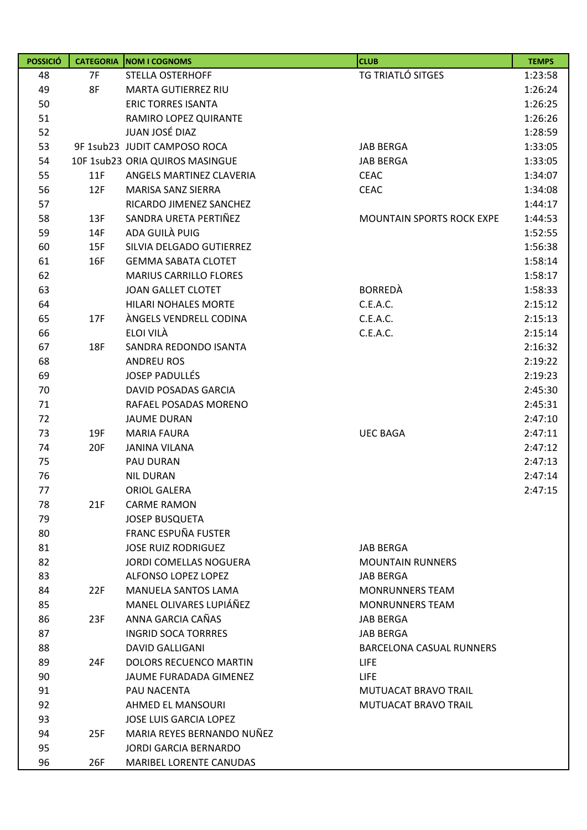| <b>POSSICIÓ</b> |     | <b>CATEGORIA   NOM I COGNOMS</b> | <b>CLUB</b>                      | <b>TEMPS</b> |
|-----------------|-----|----------------------------------|----------------------------------|--------------|
| 48              | 7F  | <b>STELLA OSTERHOFF</b>          | TG TRIATLÓ SITGES                | 1:23:58      |
| 49              | 8F  | MARTA GUTIERREZ RIU              |                                  | 1:26:24      |
| 50              |     | <b>ERIC TORRES ISANTA</b>        |                                  | 1:26:25      |
| 51              |     | RAMIRO LOPEZ QUIRANTE            |                                  | 1:26:26      |
| 52              |     | JUAN JOSÉ DIAZ                   |                                  | 1:28:59      |
| 53              |     | 9F 1sub23 JUDIT CAMPOSO ROCA     | <b>JAB BERGA</b>                 | 1:33:05      |
| 54              |     | 10F 1sub23 ORIA QUIROS MASINGUE  | <b>JAB BERGA</b>                 | 1:33:05      |
| 55              | 11F | ANGELS MARTINEZ CLAVERIA         | <b>CEAC</b>                      | 1:34:07      |
| 56              | 12F | <b>MARISA SANZ SIERRA</b>        | <b>CEAC</b>                      | 1:34:08      |
| 57              |     | RICARDO JIMENEZ SANCHEZ          |                                  | 1:44:17      |
| 58              | 13F | SANDRA URETA PERTIÑEZ            | <b>MOUNTAIN SPORTS ROCK EXPE</b> | 1:44:53      |
| 59              | 14F | ADA GUILÀ PUIG                   |                                  | 1:52:55      |
| 60              | 15F | SILVIA DELGADO GUTIERREZ         |                                  | 1:56:38      |
| 61              | 16F | <b>GEMMA SABATA CLOTET</b>       |                                  | 1:58:14      |
| 62              |     | <b>MARIUS CARRILLO FLORES</b>    |                                  | 1:58:17      |
| 63              |     | <b>JOAN GALLET CLOTET</b>        | <b>BORREDÀ</b>                   | 1:58:33      |
| 64              |     | <b>HILARI NOHALES MORTE</b>      | C.E.A.C.                         | 2:15:12      |
| 65              | 17F | ÀNGELS VENDRELL CODINA           | C.E.A.C.                         | 2:15:13      |
| 66              |     | ELOI VILA                        | C.E.A.C.                         | 2:15:14      |
| 67              | 18F | SANDRA REDONDO ISANTA            |                                  | 2:16:32      |
| 68              |     | <b>ANDREU ROS</b>                |                                  | 2:19:22      |
| 69              |     | <b>JOSEP PADULLÉS</b>            |                                  | 2:19:23      |
| 70              |     | <b>DAVID POSADAS GARCIA</b>      |                                  | 2:45:30      |
| 71              |     | RAFAEL POSADAS MORENO            |                                  | 2:45:31      |
| 72              |     | <b>JAUME DURAN</b>               |                                  | 2:47:10      |
| 73              | 19F | <b>MARIA FAURA</b>               | <b>UEC BAGA</b>                  | 2:47:11      |
| 74              | 20F | <b>JANINA VILANA</b>             |                                  | 2:47:12      |
| 75              |     | <b>PAU DURAN</b>                 |                                  | 2:47:13      |
| 76              |     | <b>NIL DURAN</b>                 |                                  | 2:47:14      |
| 77              |     | <b>ORIOL GALERA</b>              |                                  | 2:47:15      |
| 78              | 21F | <b>CARME RAMON</b>               |                                  |              |
| 79              |     | <b>JOSEP BUSQUETA</b>            |                                  |              |
| 80              |     | FRANC ESPUÑA FUSTER              |                                  |              |
| 81              |     | <b>JOSE RUIZ RODRIGUEZ</b>       | <b>JAB BERGA</b>                 |              |
| 82              |     | <b>JORDI COMELLAS NOGUERA</b>    | <b>MOUNTAIN RUNNERS</b>          |              |
| 83              |     | ALFONSO LOPEZ LOPEZ              | <b>JAB BERGA</b>                 |              |
| 84              | 22F | MANUELA SANTOS LAMA              | <b>MONRUNNERS TEAM</b>           |              |
| 85              |     | MANEL OLIVARES LUPIÁÑEZ          | <b>MONRUNNERS TEAM</b>           |              |
| 86              | 23F | ANNA GARCIA CAÑAS                | <b>JAB BERGA</b>                 |              |
| 87              |     | <b>INGRID SOCA TORRRES</b>       | <b>JAB BERGA</b>                 |              |
| 88              |     | <b>DAVID GALLIGANI</b>           | BARCELONA CASUAL RUNNERS         |              |
| 89              | 24F | <b>DOLORS RECUENCO MARTIN</b>    | <b>LIFE</b>                      |              |
| 90              |     | JAUME FURADADA GIMENEZ           | <b>LIFE</b>                      |              |
| 91              |     | PAU NACENTA                      | <b>MUTUACAT BRAVO TRAIL</b>      |              |
| 92              |     | AHMED EL MANSOURI                | MUTUACAT BRAVO TRAIL             |              |
| 93              |     | <b>JOSE LUIS GARCIA LOPEZ</b>    |                                  |              |
| 94              | 25F | MARIA REYES BERNANDO NUÑEZ       |                                  |              |
| 95              |     | <b>JORDI GARCIA BERNARDO</b>     |                                  |              |
| 96              | 26F | MARIBEL LORENTE CANUDAS          |                                  |              |